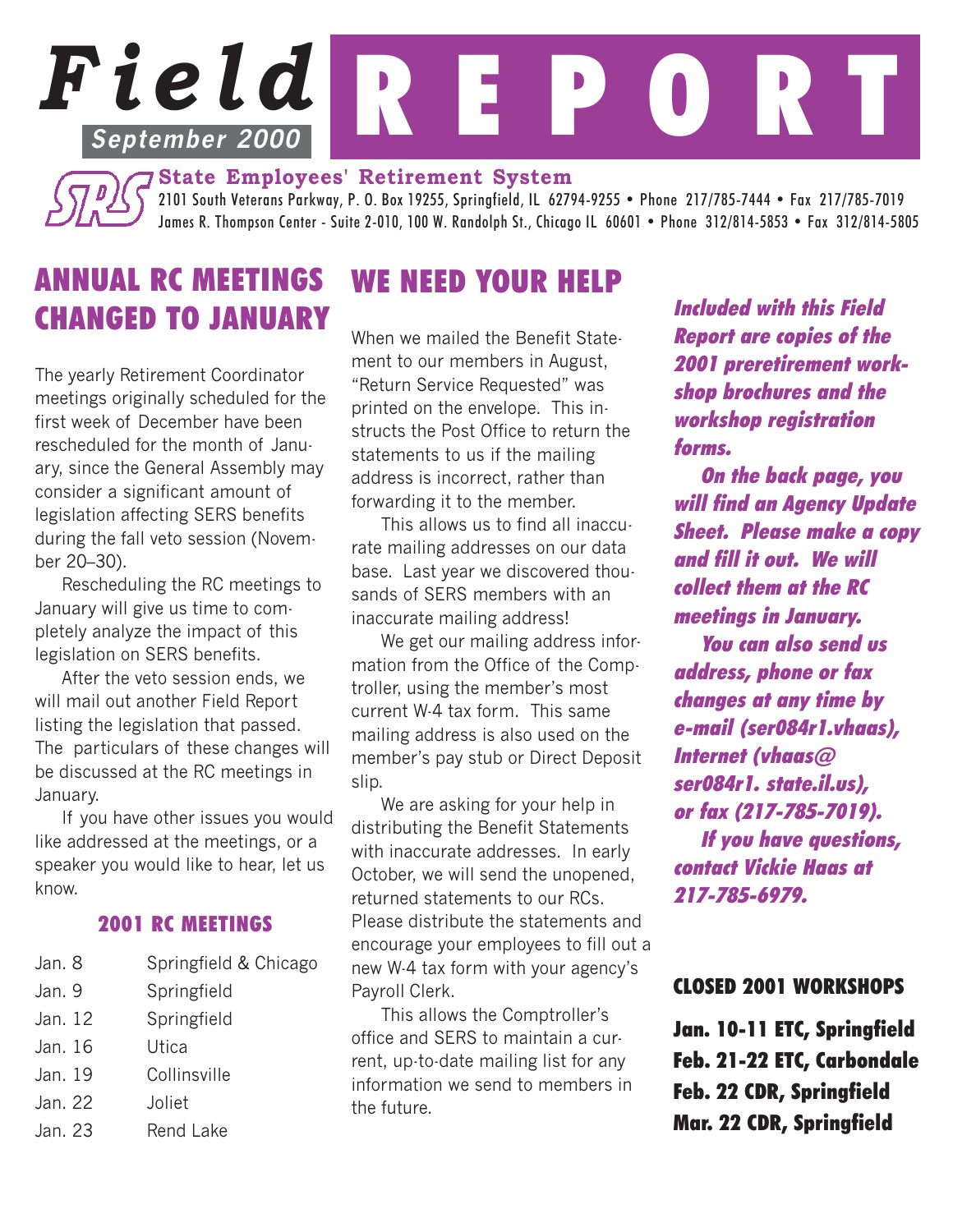# *Field* R E P O R T **September 2000**

**State Employees' Retirement System** 2101 South Veterans Parkway, P. O. Box 19255, Springfield, IL 62794-9255 • Phone 217/785-7444 • Fax 217/785-7019 James R. Thompson Center - Suite 2-010, 100 W. Randolph St., Chicago IL 60601 • Phone 312/814-5853 • Fax 312/814-5805

## ANNUAL RC MEETINGS CHANGED TO JANUARY

The yearly Retirement Coordinator meetings originally scheduled for the first week of December have been rescheduled for the month of January, since the General Assembly may consider a significant amount of legislation affecting SERS benefits during the fall veto session (November 20–30).

Rescheduling the RC meetings to January will give us time to completely analyze the impact of this legislation on SERS benefits.

After the veto session ends, we will mail out another Field Report listing the legislation that passed. The particulars of these changes will be discussed at the RC meetings in January.

If you have other issues you would like addressed at the meetings, or a speaker you would like to hear, let us know.

#### 2001 RC MEETINGS

| Jan. 8  | Springfield & Chicago |
|---------|-----------------------|
| Jan. 9  | Springfield           |
| Jan. 12 | Springfield           |
| Jan. 16 | Utica                 |
| Jan. 19 | Collinsville          |
| Jan. 22 | Joliet                |
| Jan. 23 | Rend Lake             |

### WE NEED YOUR HELP

When we mailed the Benefit Statement to our members in August, "Return Service Requested" was printed on the envelope. This instructs the Post Office to return the statements to us if the mailing address is incorrect, rather than forwarding it to the member.

This allows us to find all inaccurate mailing addresses on our data base. Last year we discovered thousands of SERS members with an inaccurate mailing address!

We get our mailing address information from the Office of the Comptroller, using the member's most current W-4 tax form. This same mailing address is also used on the member's pay stub or Direct Deposit slip.

We are asking for your help in distributing the Benefit Statements with inaccurate addresses. In early October, we will send the unopened, returned statements to our RCs. Please distribute the statements and encourage your employees to fill out a new W-4 tax form with your agency's Payroll Clerk.

This allows the Comptroller's office and SERS to maintain a current, up-to-date mailing list for any information we send to members in the future.

Included with this Field Report are copies of the 2001 preretirement workshop brochures and the workshop registration forms.

On the back page, you will find an Agency Update Sheet. Please make a copy and fill it out. We will collect them at the RC meetings in January. You can also send us address, phone or fax changes at any time by e-mail (ser084r1.vhaas), Internet (vhaas@ ser084r1. state.il.us), or fax (217-785-7019). If you have questions, contact Vickie Haas at 217-785-6979.

#### CLOSED 2001 WORKSHOPS

Jan. 10-11 ETC, Springfield Feb. 21-22 ETC, Carbondale Feb. 22 CDR, Springfield Mar. 22 CDR, Springfield